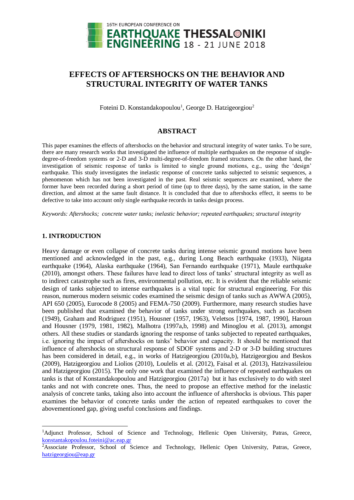

# **EFFECTS OF AFTERSHOCKS ON THE BEHAVIOR AND STRUCTURAL INTEGRITY OF WATER TANKS**

Foteini D. Konstandakopoulou<sup>1</sup>, George D. Hatzigeorgiou<sup>2</sup>

# **ABSTRACT**

This paper examines the effects of aftershocks on the behavior and structural integrity of water tanks. To be sure, there are many research works that investigated the influence of multiple earthquakes on the response of singledegree-of-freedom systems or 2-D and 3-D multi-degree-of-freedom framed structures. On the other hand, the investigation of seismic response of tanks is limited to single ground motions, e.g., using the 'design' earthquake. This study investigates the inelastic response of concrete tanks subjected to seismic sequences, a phenomenon which has not been investigated in the past. Real seismic sequences are examined, where the former have been recorded during a short period of time (up to three days), by the same station, in the same direction, and almost at the same fault distance. It is concluded that due to aftershocks effect, it seems to be defective to take into account only single earthquake records in tanks design process.

*Keywords: Aftershocks; concrete water tanks; inelastic behavior; repeated earthquakes; structural integrity*

# **1. INTRODUCTION**

 $\overline{a}$ 

Heavy damage or even collapse of concrete tanks during intense seismic ground motions have been mentioned and acknowledged in the past, e.g., during Long Beach earthquake (1933), Niigata earthquake (1964), Alaska earthquake (1964), San Fernando earthquake (1971), Maule earthquake (2010), amongst others. These failures have lead to direct loss of tanks' structural integrity as well as to indirect catastrophe such as fires, environmental pollution, etc. It is evident that the reliable seismic design of tanks subjected to intense earthquakes is a vital topic for structural engineering. For this reason, numerous modern seismic codes examined the seismic design of tanks such as AWWA (2005), API 650 (2005), Eurocode 8 (2005) and FEMA-750 (2009). Furthermore, many research studies have been published that examined the behavior of tanks under strong earthquakes, such as Jacobsen (1949), Graham and Rodriguez (1951), Housner (1957, 1963), Veletsos [1974, 1987, 1990], Haroun and Housner (1979, 1981, 1982), Malhotra (1997a,b, 1998) and Minoglou et al. (2013), amongst others. All these studies or standards ignoring the response of tanks subjected to repeated earthquakes, i.e. ignoring the impact of aftershocks on tanks' behavior and capacity. It should be mentioned that influence of aftershocks on structural response of SDOF systems and 2-D or 3-D building structures has been considered in detail, e.g., in works of Hatzigeorgiou (2010a,b), Hatzigeorgiou and Beskos (2009), Hatzigeorgiou and Liolios (2010), Loulelis et al. (2012), Faisal et al. (2013), Hatzivassileiou and Hatzigeorgiou (2015). The only one work that examined the influence of repeated earthquakes on tanks is that of Konstandakopoulou and Hatzigeorgiou (2017a) but it has exclusively to do with steel tanks and not with concrete ones. Thus, the need to propose an effective method for the inelastic analysis of concrete tanks, taking also into account the influence of aftershocks is obvious. This paper examines the behavior of concrete tanks under the action of repeated earthquakes to cover the abovementioned gap, giving useful conclusions and findings.

<sup>&</sup>lt;sup>1</sup>Adjunct Professor, School of Science and Technology, Hellenic Open University, Patras, Greece, [konstantakopoulou.foteini@ac.eap.gr](mailto:gpapagia@upatras.gr) 

<sup>2</sup>Associate Professor, School of Science and Technology, Hellenic Open University, Patras, Greece, [hatzigeorgiou@eap.gr](mailto:hatzigeorgiou@eap.gr)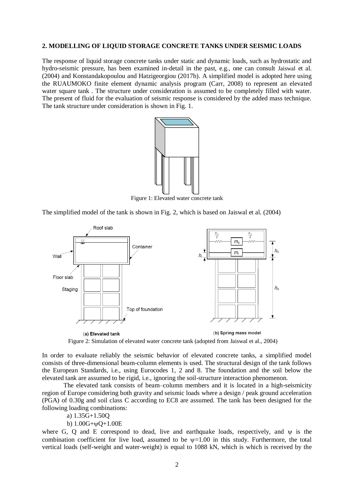# **2. MODELLING OF LIQUID STORAGE CONCRETE TANKS UNDER SEISMIC LOADS**

The response of liquid storage concrete tanks under static and dynamic loads, such as hydrostatic and hydro-seismic pressure, has been examined in-detail in the past, e.g., one can consult Jaiswal et al. (2004) and Konstandakopoulou and Hatzigeorgiou (2017b). A simplified model is adopted here using the RUAUMOKO finite element dynamic analysis program (Carr, 2008) to represent an elevated water square tank . The structure under consideration is assumed to be completely filled with water. The present of fluid for the evaluation of seismic response is considered by the added mass technique. The tank structure under consideration is shown in Fig. 1.



Figure 1: Elevated water concrete tank

The simplified model of the tank is shown in Fig. 2, which is based on Jaiswal et al. (2004)



Figure 2: Simulation of elevated water concrete tank (adopted from Jaiswal et al., 2004)

In order to evaluate reliably the seismic behavior of elevated concrete tanks, a simplified model consists of three-dimensional beam-column elements is used. The structural design of the tank follows the European Standards, i.e., using Eurocodes 1, 2 and 8. The foundation and the soil below the elevated tank are assumed to be rigid, i.e., ignoring the soil-structure interaction phenomenon.

The elevated tank consists of beam–column members and it is located in a high-seismicity region of Europe considering both gravity and seismic loads where a design / peak ground acceleration (PGA) of 0.30g and soil class C according to EC8 are assumed. The tank has been designed for the following loading combinations:

a) 1.35G+1.50Q

b)  $1.00G + \psi O + 1.00E$ 

where G, Q and E correspond to dead, live and earthquake loads, respectively, and  $\psi$  is the combination coefficient for live load, assumed to be  $\nu$ =1.00 in this study. Furthermore, the total vertical loads (self-weight and water-weight) is equal to 1088 kN, which is which is received by the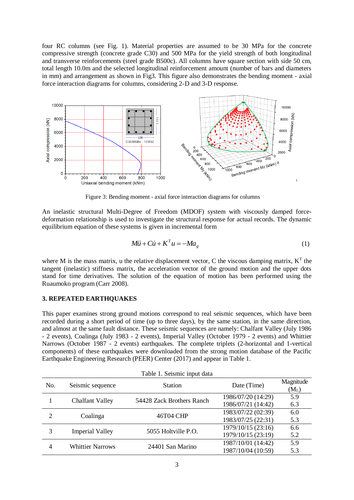four RC columns (see Fig. 1). Material properties are assumed to be 30 MPa for the concrete compressive strength (concrete grade C30) and 500 MPa for the yield strength of both longitudinal and transverse reinforcements (steel grade B500c). All columns have square section with side 50 cm, total length 10.0m and the selected longitudinal reinforcement amount (number of bars and diameters in mm) and arrangement as shown in Fig3. This figure also demonstrates the bending moment - axial force interaction diagrams for columns, considering 2-D and 3-D response.



Figure 3: Bending moment - axial force interaction diagrams for columns

An inelastic structural Multi-Degree of Freedom (MDOF) system with viscously damped forcedeformation relationship is used to investigate the structural response for actual records. The dynamic equilibrium equation of these systems is given in incremental form

$$
M\ddot{u} + C\dot{u} + K^T u = -Ma_g \tag{1}
$$

where M is the mass matrix, u the relative displacement vector, C the viscous damping matrix,  $K<sup>T</sup>$  the tangent (inelastic) stiffness matrix, the acceleration vector of the ground motion and the upper dots stand for time derivatives. The solution of the equation of motion has been performed using the Ruaumoko program (Carr 2008).

# **3. REPEATED EARTHQUAKES**

This paper examines strong ground motions correspond to real seismic sequences, which have been recorded during a short period of time (up to three days), by the same station, in the same direction, and almost at the same fault distance. These seismic sequences are namely: Chalfant Valley (July 1986 - 2 events), Coalinga (July 1983 - 2 events), Imperial Valley (October 1979 - 2 events) and Whittier Narrows (October 1987 - 2 events) earthquakes. The complete triplets (2-horizontal and 1-vertical components) of these earthquakes were downloaded from the strong motion database of the Pacific Earthquake Engineering Research (PEER) Center (2017) and appear in Table 1.

| Table 1. Seismic input data |                         |                           |                                          |                      |
|-----------------------------|-------------------------|---------------------------|------------------------------------------|----------------------|
| No.                         | Seismic sequence        | <b>Station</b>            | Date (Time)                              | Magnitude<br>$(M_L)$ |
|                             | <b>Chalfant Valley</b>  | 54428 Zack Brothers Ranch | 1986/07/20 (14:29)<br>1986/07/21 (14:42) | 5.9<br>6.3           |
| $\overline{2}$              | Coalinga                | 46T04 CHP                 | 1983/07/22 (02:39)<br>1983/07/25 (22:31) | 6.0<br>5.3           |
| 3                           | <b>Imperial Valley</b>  | 5055 Holtville P.O.       | 1979/10/15 (23:16)<br>1979/10/15 (23:19) | 6.6<br>5.2           |
| 4                           | <b>Whittier Narrows</b> | 24401 San Marino          | 1987/10/01 (14:42)<br>1987/10/04 (10:59) | 5.9<br>5.3           |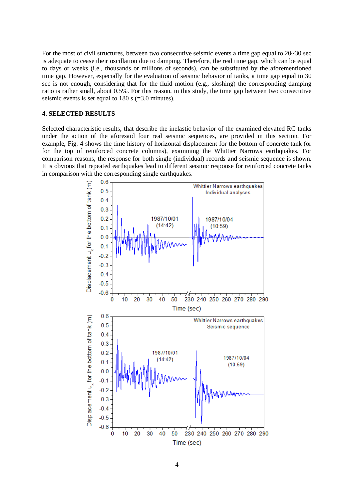For the most of civil structures, between two consecutive seismic events a time gap equal to 20~30 sec is adequate to cease their oscillation due to damping. Therefore, the real time gap, which can be equal to days or weeks (i.e., thousands or millions of seconds), can be substituted by the aforementioned time gap. However, especially for the evaluation of seismic behavior of tanks, a time gap equal to 30 sec is not enough, considering that for the fluid motion (e.g., sloshing) the corresponding damping ratio is rather small, about 0.5%. For this reason, in this study, the time gap between two consecutive seismic events is set equal to 180 s  $(=3.0 \text{ minutes})$ .

# **4. SELECTED RESULTS**

Selected characteristic results, that describe the inelastic behavior of the examined elevated RC tanks under the action of the aforesaid four real seismic sequences, are provided in this section. For example, Fig. 4 shows the time history of horizontal displacement for the bottom of concrete tank (or for the top of reinforced concrete columns), examining the Whittier Narrows earthquakes. For comparison reasons, the response for both single (individual) records and seismic sequence is shown. It is obvious that repeated earthquakes lead to different seismic response for reinforced concrete tanks in comparison with the corresponding single earthquakes.

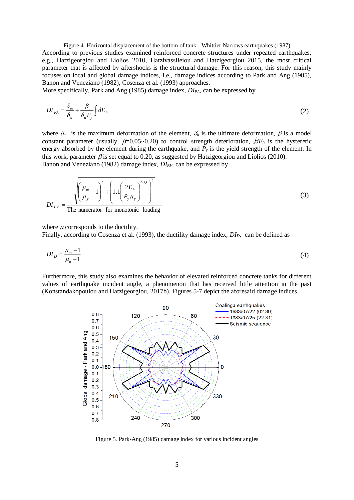Figure 4. Horizontal displacement of the bottom of tank - Whittier Narrows earthquakes (1987) According to previous studies examined reinforced concrete structures under repeated earthquakes, e.g., Hatzigeorgiou and Liolios 2010, Hatzivassileiou and Hatzigeorgiou 2015, the most critical parameter that is affected by aftershocks is the structural damage. For this reason, this study mainly focuses on local and global damage indices, i.e., damage indices according to Park and Ang (1985), Banon and Veneziano (1982), Cosenza et al. (1993) approaches.

More specifically, Park and Ang (1985) damage index, *DIPA*, can be expressed by

$$
DI_{PA} = \frac{\delta_m}{\delta_u} + \frac{\beta}{\delta_u P_y} \int dE_h
$$
 (2)

where  $\delta_m$  is the maximum deformation of the element,  $\delta_u$  is the ultimate deformation,  $\beta$  is a model constant parameter (usually,  $\beta = 0.05 \sim 0.20$ ) to control strength deterioration,  $dE_h$  is the hysteretic energy absorbed by the element during the earthquake, and  $P<sub>y</sub>$  is the yield strength of the element. In this work, parameter  $\beta$  is set equal to 0.20, as suggested by Hatzigeorgiou and Liolios (2010). Banon and Veneziano (1982) damage index, *DIBV*, can be expressed by

$$
DI_{BV} = \frac{\sqrt{\left(\frac{\mu_m}{\mu_y} - 1\right)^2 + \left(1.1\left(\frac{2E_h}{P_y\mu_y}\right)^{0.38}\right)^2}}{\text{The numerator for monotonic loading}}
$$
(3)

where  $\mu$  corresponds to the ductility.

Finally, according to Cosenza et al. (1993), the ductility damage index, *DID*, can be defined as

$$
DI_{D} = \frac{\mu_{m} - 1}{\mu_{u} - 1}
$$
\n(4)

Furthermore, this study also examines the behavior of elevated reinforced concrete tanks for different values of earthquake incident angle, a phenomenon that has received little attention in the past (Konstandakopoulou and Hatzigeorgiou, 2017b). Figures 5-7 depict the aforesaid damage indices.



Figure 5. Park-Ang (1985) damage index for various incident angles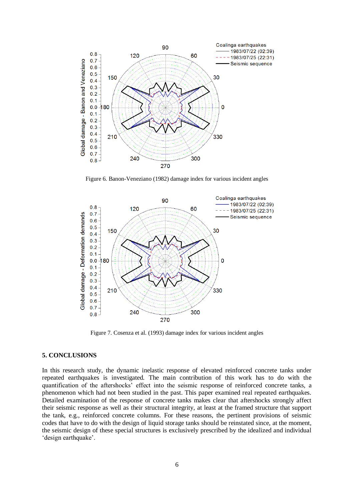

Figure 6. Banon-Veneziano (1982) damage index for various incident angles



Figure 7. Cosenza et al. (1993) damage index for various incident angles

### **5. CONCLUSIONS**

In this research study, the dynamic inelastic response of elevated reinforced concrete tanks under repeated earthquakes is investigated. The main contribution of this work has to do with the quantification of the aftershocks' effect into the seismic response of reinforced concrete tanks, a phenomenon which had not been studied in the past. This paper examined real repeated earthquakes. Detailed examination of the response of concrete tanks makes clear that aftershocks strongly affect their seismic response as well as their structural integrity, at least at the framed structure that support the tank, e.g., reinforced concrete columns. For these reasons, the pertinent provisions of seismic codes that have to do with the design of liquid storage tanks should be reinstated since, at the moment, the seismic design of these special structures is exclusively prescribed by the idealized and individual 'design earthquake'.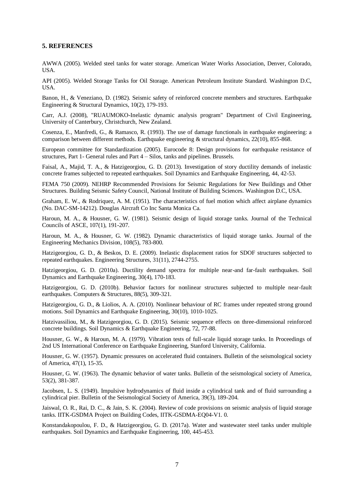### **5. REFERENCES**

AWWA (2005). Welded steel tanks for water storage. American Water Works Association, Denver, Colorado, USA.

API (2005). Welded Storage Tanks for Oil Storage. American Petroleum Institute Standard. Washington D.C, USA.

Banon, H., & Veneziano, D. (1982). Seismic safety of reinforced concrete members and structures. Earthquake Engineering & Structural Dynamics, 10(2), 179-193.

Carr, A.J. (2008), "RUAUMOKO-Inelastic dynamic analysis program" Department of Civil Engineering, University of Canterbury, Christchurch, New Zealand.

Cosenza, E., Manfredi, G., & Ramasco, R. (1993). The use of damage functionals in earthquake engineering: a comparison between different methods. Earthquake engineering & structural dynamics, 22(10), 855-868.

European committee for Standardization (2005). Eurocode 8: Design provisions for earthquake resistance of structures, Part 1- General rules and Part 4 – Silos, tanks and pipelines. Brussels.

Faisal, A., Majid, T. A., & Hatzigeorgiou, G. D. (2013). Investigation of story ductility demands of inelastic concrete frames subjected to repeated earthquakes. Soil Dynamics and Earthquake Engineering, 44, 42-53.

FEMA 750 (2009). NEHRP Recommended Provisions for Seismic Regulations for New Buildings and Other Structures. Building Seismic Safety Council, National Institute of Building Sciences. Washington D.C, USA.

Graham, E. W., & Rodriquez, A. M. (1951). The characteristics of fuel motion which affect airplane dynamics (No. DAC-SM-14212). Douglas Aircraft Co Inc Santa Monica Ca.

Haroun, M. A., & Housner, G. W. (1981). Seismic design of liquid storage tanks. Journal of the Technical Councils of ASCE, 107(1), 191-207.

Haroun, M. A., & Housner, G. W. (1982). Dynamic characteristics of liquid storage tanks. Journal of the Engineering Mechanics Division, 108(5), 783-800.

Hatzigeorgiou, G. D., & Beskos, D. E. (2009). Inelastic displacement ratios for SDOF structures subjected to repeated earthquakes. Engineering Structures, 31(11), 2744-2755.

Hatzigeorgiou, G. D. (2010a). Ductility demand spectra for multiple near-and far-fault earthquakes. Soil Dynamics and Earthquake Engineering, 30(4), 170-183.

Hatzigeorgiou, G. D. (2010b). Behavior factors for nonlinear structures subjected to multiple near-fault earthquakes. Computers & Structures, 88(5), 309-321.

Hatzigeorgiou, G. D., & Liolios, A. A. (2010). Nonlinear behaviour of RC frames under repeated strong ground motions. Soil Dynamics and Earthquake Engineering, 30(10), 1010-1025.

Hatzivassiliou, M., & Hatzigeorgiou, G. D. (2015). Seismic sequence effects on three-dimensional reinforced concrete buildings. Soil Dynamics & Earthquake Engineering, 72, 77-88.

Housner, G. W., & Haroun, M. A. (1979). Vibration tests of full-scale liquid storage tanks. In Proceedings of 2nd US International Conference on Earthquake Engineering, Stanford University, California.

Housner, G. W. (1957). Dynamic pressures on accelerated fluid containers. Bulletin of the seismological society of America, 47(1), 15-35.

Housner, G. W. (1963). The dynamic behavior of water tanks. Bulletin of the seismological society of America, 53(2), 381-387.

Jacobsen, L. S. (1949). Impulsive hydrodynamics of fluid inside a cylindrical tank and of fluid surrounding a cylindrical pier. Bulletin of the Seismological Society of America, 39(3), 189-204.

Jaiswal, O. R., Rai, D. C., & Jain, S. K. (2004). Review of code provisions on seismic analysis of liquid storage tanks. IITK-GSDMA Project on Building Codes, IITK-GSDMA-EQ04-V1. 0.

Konstandakopoulou, F. D., & Hatzigeorgiou, G. D. (2017a). Water and wastewater steel tanks under multiple earthquakes. Soil Dynamics and Earthquake Engineering, 100, 445-453.